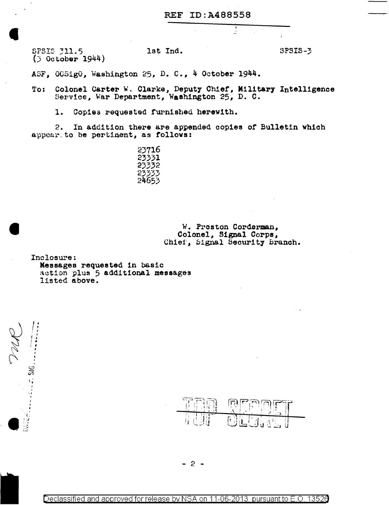SPSIS 311.5 let Ind. SPSIS-3 (3 October 1944)

ASF, OC5ig0, Washington 25, D. C., 4 October 1944.

To: Colonel Carter w. Clarke, Deputy Chief, Military Intelligence Service, War Department, Washington 25, D. C.

1. Copies requested furnished herewith.

2. In addition there are appended oopies of Bulletin whioh appear to be pertinent, as follows:

> > W. Preston Corderman, Colonel, Signal Corpe, Chief, Signal Security Branch.

Inclosure: Messages requested in basic action plus 5 additional messages listed above.

 $\frac{1}{2}$ ,1 f ; J l • ! • *:* '

, .,<br>.,<br>.,

 $\frac{1}{20}$ 

. ' . \_.



 $-2 -$